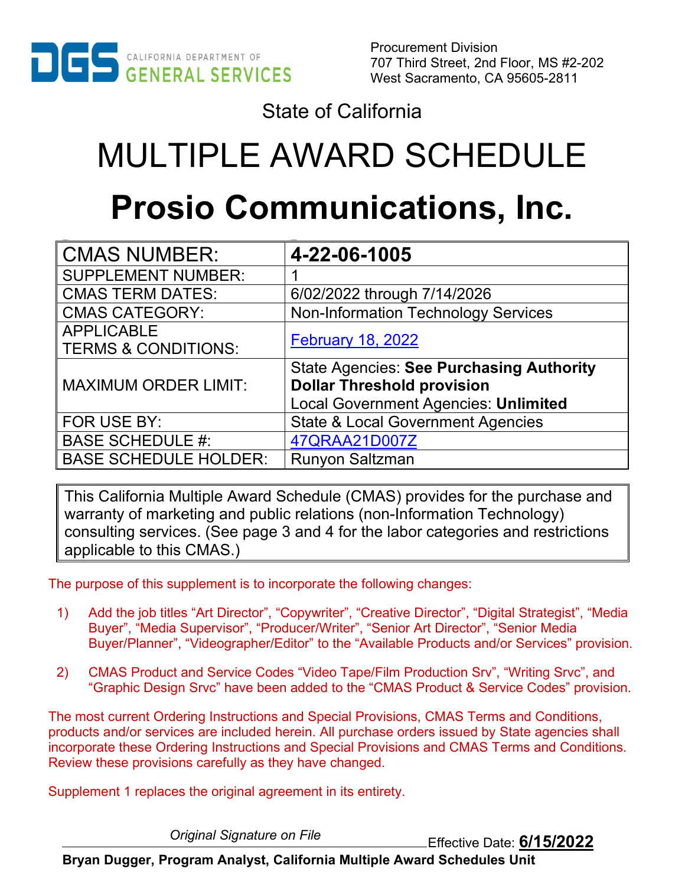

State of California

# MULTIPLE AWARD SCHEDULE **Prosio Communications, Inc.**

| <b>CMAS NUMBER:</b>            | 4-22-06-1005                                    |
|--------------------------------|-------------------------------------------------|
| <b>SUPPLEMENT NUMBER:</b>      |                                                 |
| <b>CMAS TERM DATES:</b>        | 6/02/2022 through 7/14/2026                     |
| <b>CMAS CATEGORY:</b>          | <b>Non-Information Technology Services</b>      |
| <b>APPLICABLE</b>              | <b>February 18, 2022</b>                        |
| <b>TERMS &amp; CONDITIONS:</b> |                                                 |
|                                | <b>State Agencies: See Purchasing Authority</b> |
| <b>MAXIMUM ORDER LIMIT:</b>    | <b>Dollar Threshold provision</b>               |
|                                | <b>Local Government Agencies: Unlimited</b>     |
| FOR USE BY:                    | <b>State &amp; Local Government Agencies</b>    |
| <b>BASE SCHEDULE #:</b>        | 47QRAA21D007Z                                   |
| <b>BASE SCHEDULE HOLDER:</b>   | <b>Runyon Saltzman</b>                          |

This California Multiple Award Schedule (CMAS) provides for the purchase and warranty of marketing and public relations (non-Information Technology) consulting services. (See page 3 and 4 for the labor categories and restrictions applicable to this CMAS.)

The purpose of this supplement is to incorporate the following changes:

- 1) Add the job titles "Art Director", "Copywriter", "Creative Director", "Digital Strategist", "Media Buyer", "Media Supervisor", "Producer/Writer", "Senior Art Director", "Senior Media Buyer/Planner", "Videographer/Editor" to the "Available Products and/or Services" provision.
- 2) CMAS Product and Service Codes "Video Tape/Film Production Srv", "Writing Srvc", and "Graphic Design Srvc" have been added to the "CMAS Product & Service Codes" provision.

The most current Ordering Instructions and Special Provisions, CMAS Terms and Conditions, products and/or services are included herein. All purchase orders issued by State agencies shall incorporate these Ordering Instructions and Special Provisions and CMAS Terms and Conditions. Review these provisions carefully as they have changed.

Supplement 1 replaces the original agreement in its entirety.

Effective Date: **6/15/2022** *Original Signature on File*

**Bryan Dugger, Program Analyst, California Multiple Award Schedules Unit**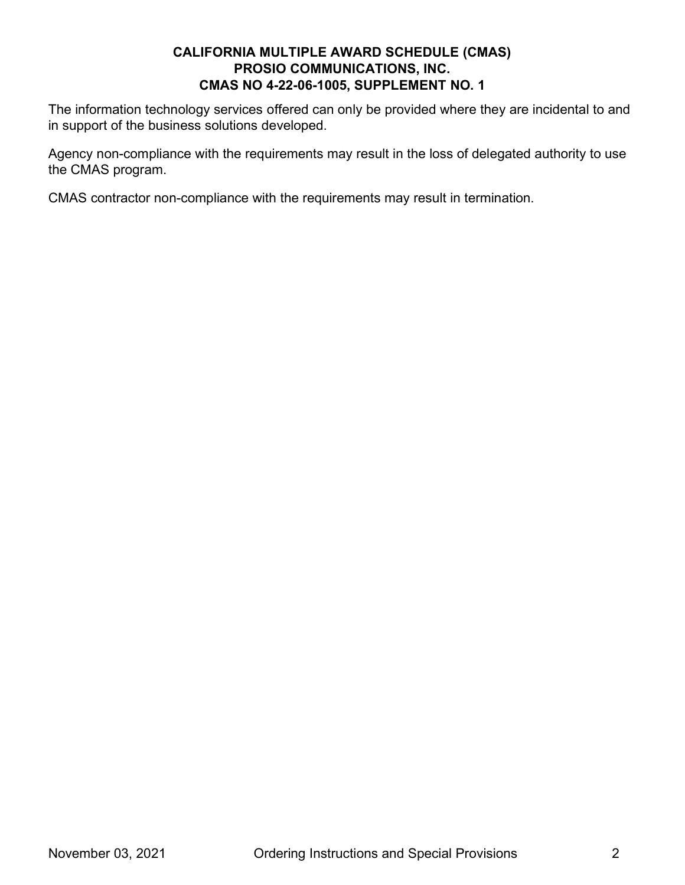The information technology services offered can only be provided where they are incidental to and in support of the business solutions developed.

Agency non-compliance with the requirements may result in the loss of delegated authority to use the CMAS program.

CMAS contractor non-compliance with the requirements may result in termination.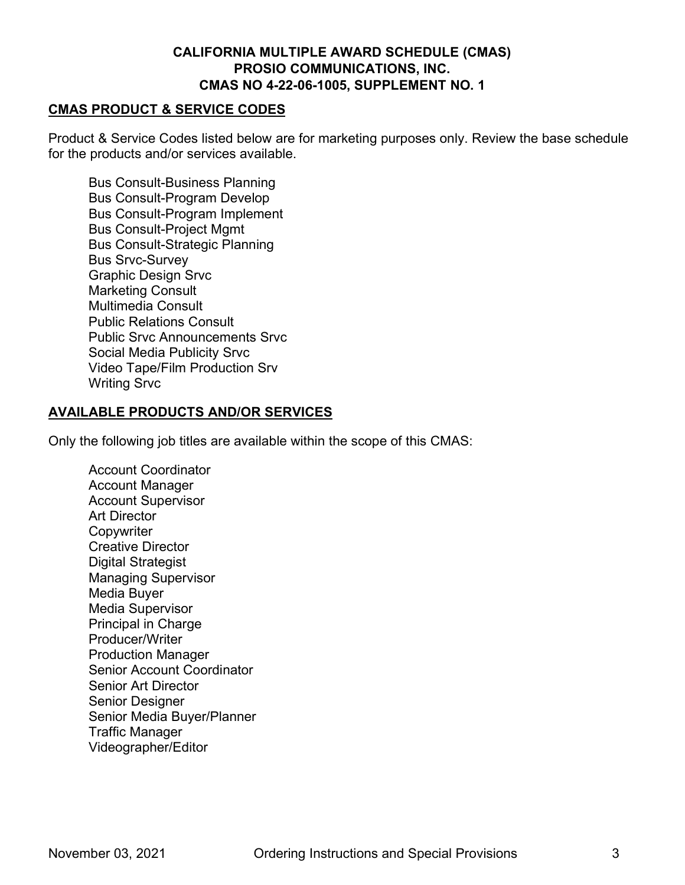#### **CMAS PRODUCT & SERVICE CODES**

Product & Service Codes listed below are for marketing purposes only. Review the base schedule for the products and/or services available.

Bus Consult-Business Planning Bus Consult-Program Develop Bus Consult-Program Implement Bus Consult-Project Mgmt Bus Consult-Strategic Planning Bus Srvc-Survey Graphic Design Srvc Marketing Consult Multimedia Consult Public Relations Consult Public Srvc Announcements Srvc Social Media Publicity Srvc Video Tape/Film Production Srv Writing Srvc

#### **AVAILABLE PRODUCTS AND/OR SERVICES**

Only the following job titles are available within the scope of this CMAS:

Account Coordinator Account Manager Account Supervisor Art Director **Copywriter** Creative Director Digital Strategist Managing Supervisor Media Buyer Media Supervisor Principal in Charge Producer/Writer Production Manager Senior Account Coordinator Senior Art Director Senior Designer Senior Media Buyer/Planner Traffic Manager Videographer/Editor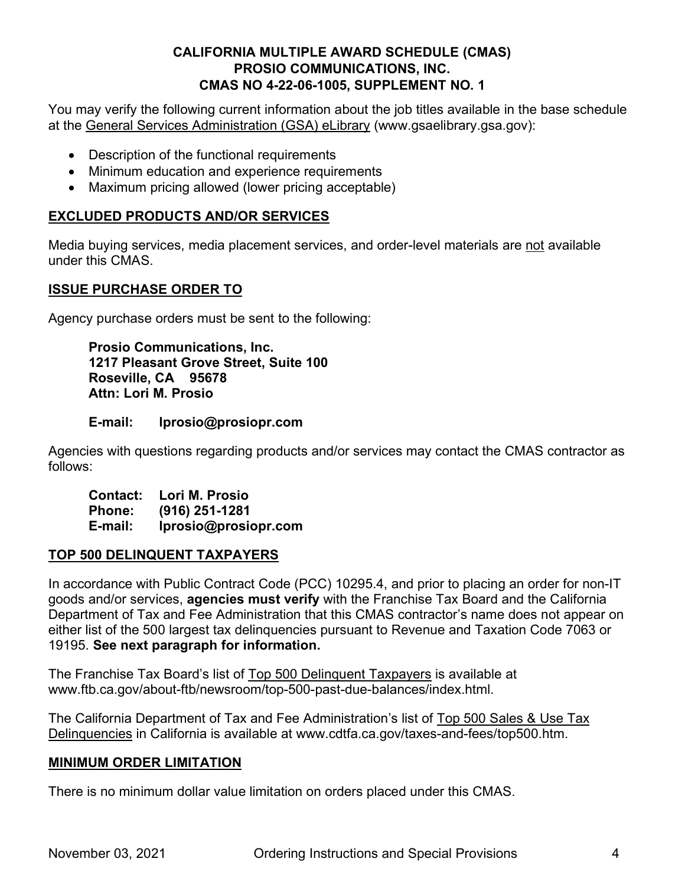You may verify the following current information about the job titles available in the base schedule at the [General Services Administration \(GSA\) eLibrary](http://www.gsaelibrary.gsa.gov/) (www.gsaelibrary.gsa.gov):

- Description of the functional requirements
- Minimum education and experience requirements
- Maximum pricing allowed (lower pricing acceptable)

# **EXCLUDED PRODUCTS AND/OR SERVICES**

Media buying services, media placement services, and order-level materials are not available under this CMAS.

## **ISSUE PURCHASE ORDER TO**

Agency purchase orders must be sent to the following:

**Prosio Communications, Inc. 1217 Pleasant Grove Street, Suite 100 Roseville, CA 95678 Attn: Lori M. Prosio**

#### **E-mail: lprosio@prosiopr.com**

Agencies with questions regarding products and/or services may contact the CMAS contractor as follows:

**Contact: Lori M. Prosio Phone: (916) 251-1281 E-mail: lprosio@prosiopr.com**

#### **TOP 500 DELINQUENT TAXPAYERS**

In accordance with Public Contract Code (PCC) 10295.4, and prior to placing an order for non-IT goods and/or services, **agencies must verify** with the Franchise Tax Board and the California Department of Tax and Fee Administration that this CMAS contractor's name does not appear on either list of the 500 largest tax delinquencies pursuant to Revenue and Taxation Code 7063 or 19195. **See next paragraph for information.**

The Franchise Tax Board's list of [Top 500 Delinquent Taxpayers](https://www.ftb.ca.gov/about-ftb/newsroom/top-500-past-due-balances/index.html) is available at www.ftb.ca.gov/about-ftb/newsroom/top-500-past-due-balances/index.html.

The California Department of Tax and Fee Administration's list of [Top 500 Sales & Use Tax](http://www.cdtfa.ca.gov/taxes-and-fees/top500.htm)  [Delinquencies](http://www.cdtfa.ca.gov/taxes-and-fees/top500.htm) in California is available at www.cdtfa.ca.gov/taxes-and-fees/top500.htm.

#### **MINIMUM ORDER LIMITATION**

There is no minimum dollar value limitation on orders placed under this CMAS.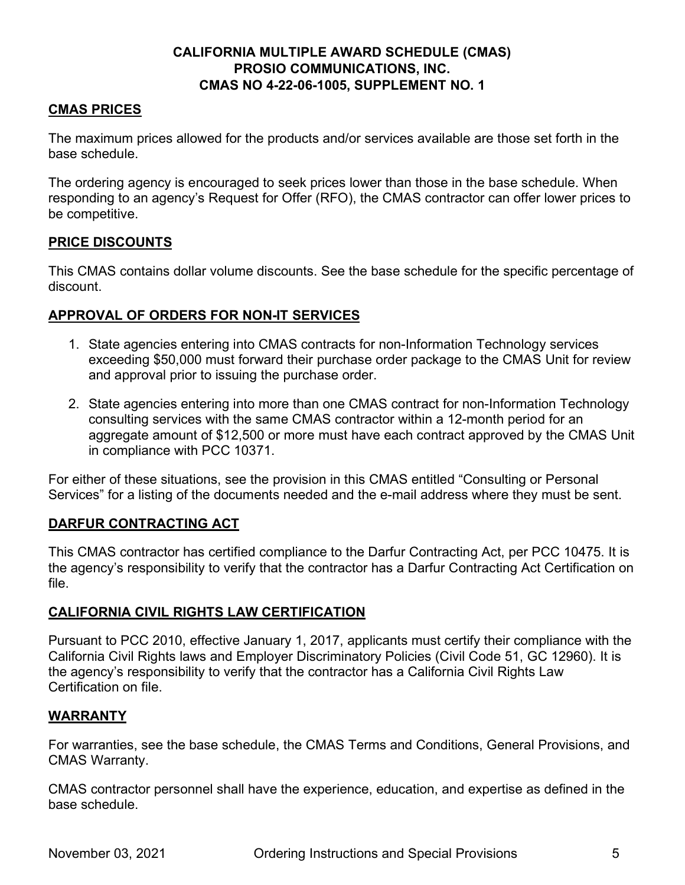#### **CMAS PRICES**

The maximum prices allowed for the products and/or services available are those set forth in the base schedule.

The ordering agency is encouraged to seek prices lower than those in the base schedule. When responding to an agency's Request for Offer (RFO), the CMAS contractor can offer lower prices to be competitive.

## **PRICE DISCOUNTS**

This CMAS contains dollar volume discounts. See the base schedule for the specific percentage of discount.

# **APPROVAL OF ORDERS FOR NON-IT SERVICES**

- 1. State agencies entering into CMAS contracts for non-Information Technology services exceeding \$50,000 must forward their purchase order package to the CMAS Unit for review and approval prior to issuing the purchase order.
- 2. State agencies entering into more than one CMAS contract for non-Information Technology consulting services with the same CMAS contractor within a 12-month period for an aggregate amount of \$12,500 or more must have each contract approved by the CMAS Unit in compliance with PCC 10371.

For either of these situations, see the provision in this CMAS entitled "Consulting or Personal Services" for a listing of the documents needed and the e-mail address where they must be sent.

# **DARFUR CONTRACTING ACT**

This CMAS contractor has certified compliance to the Darfur Contracting Act, per PCC 10475. It is the agency's responsibility to verify that the contractor has a Darfur Contracting Act Certification on file.

# **CALIFORNIA CIVIL RIGHTS LAW CERTIFICATION**

Pursuant to PCC 2010, effective January 1, 2017, applicants must certify their compliance with the California Civil Rights laws and Employer Discriminatory Policies (Civil Code 51, GC 12960). It is the agency's responsibility to verify that the contractor has a California Civil Rights Law Certification on file.

#### **WARRANTY**

For warranties, see the base schedule, the CMAS Terms and Conditions, General Provisions, and CMAS Warranty.

CMAS contractor personnel shall have the experience, education, and expertise as defined in the base schedule.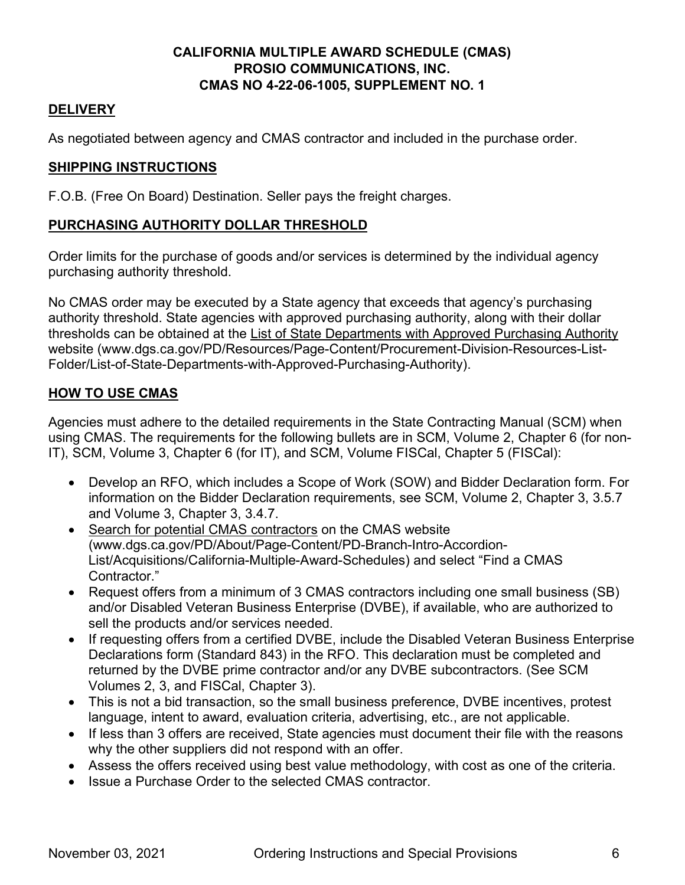# **DELIVERY**

As negotiated between agency and CMAS contractor and included in the purchase order.

# **SHIPPING INSTRUCTIONS**

F.O.B. (Free On Board) Destination. Seller pays the freight charges.

# **PURCHASING AUTHORITY DOLLAR THRESHOLD**

Order limits for the purchase of goods and/or services is determined by the individual agency purchasing authority threshold.

No CMAS order may be executed by a State agency that exceeds that agency's purchasing authority threshold. State agencies with approved purchasing authority, along with their dollar thresholds can be obtained at the [List of State Departments with Approved Purchasing Authority](https://www.dgs.ca.gov/PD/Resources/Page-Content/Procurement-Division-Resources-List-Folder/List-of-State-Departments-with-Approved-Purchasing-Authority) website (www.dgs.ca.gov/PD/Resources/Page-Content/Procurement-Division-Resources-List-Folder/List-of-State-Departments-with-Approved-Purchasing-Authority).

# **HOW TO USE CMAS**

Agencies must adhere to the detailed requirements in the State Contracting Manual (SCM) when using CMAS. The requirements for the following bullets are in SCM, Volume 2, Chapter 6 (for non-IT), SCM, Volume 3, Chapter 6 (for IT), and SCM, Volume FISCal, Chapter 5 (FISCal):

- Develop an RFO, which includes a Scope of Work (SOW) and Bidder Declaration form. For information on the Bidder Declaration requirements, see SCM, Volume 2, Chapter 3, 3.5.7 and Volume 3, Chapter 3, 3.4.7.
- [Search for potential CMAS contractors](https://www.dgs.ca.gov/PD/About/Page-Content/PD-Branch-Intro-Accordion-List/Acquisitions/California-Multiple-Award-Schedules) on the CMAS website (www.dgs.ca.gov/PD/About/Page-Content/PD-Branch-Intro-Accordion-List/Acquisitions/California-Multiple-Award-Schedules) and select "Find a CMAS Contractor."
- Request offers from a minimum of 3 CMAS contractors including one small business (SB) and/or Disabled Veteran Business Enterprise (DVBE), if available, who are authorized to sell the products and/or services needed.
- If requesting offers from a certified DVBE, include the Disabled Veteran Business Enterprise Declarations form (Standard 843) in the RFO. This declaration must be completed and returned by the DVBE prime contractor and/or any DVBE subcontractors. (See SCM Volumes 2, 3, and FISCal, Chapter 3).
- This is not a bid transaction, so the small business preference, DVBE incentives, protest language, intent to award, evaluation criteria, advertising, etc., are not applicable.
- If less than 3 offers are received, State agencies must document their file with the reasons why the other suppliers did not respond with an offer.
- Assess the offers received using best value methodology, with cost as one of the criteria.
- Issue a Purchase Order to the selected CMAS contractor.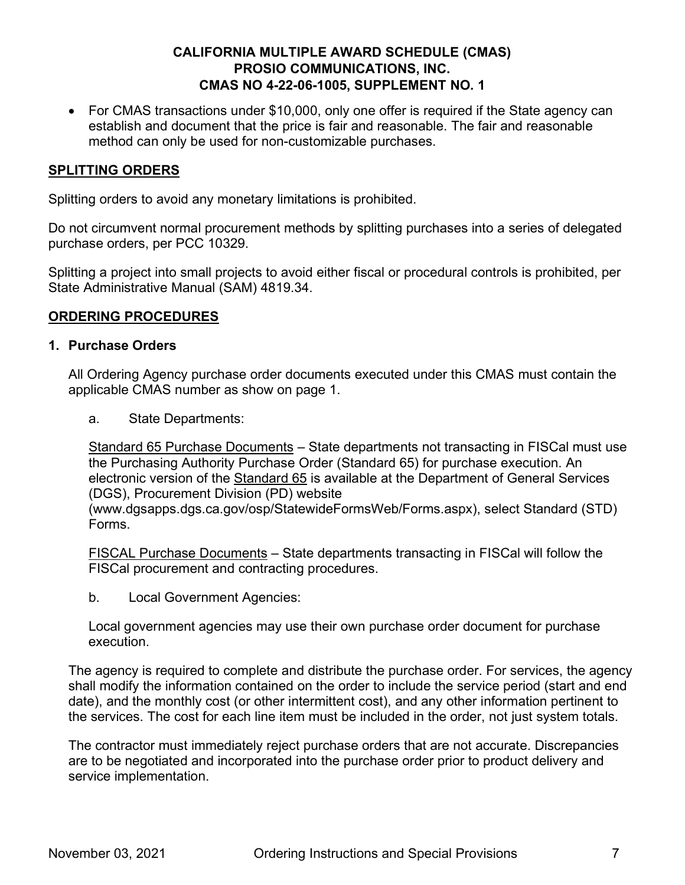• For CMAS transactions under \$10,000, only one offer is required if the State agency can establish and document that the price is fair and reasonable. The fair and reasonable method can only be used for non-customizable purchases.

## **SPLITTING ORDERS**

Splitting orders to avoid any monetary limitations is prohibited.

Do not circumvent normal procurement methods by splitting purchases into a series of delegated purchase orders, per PCC 10329.

Splitting a project into small projects to avoid either fiscal or procedural controls is prohibited, per State Administrative Manual (SAM) 4819.34.

#### **ORDERING PROCEDURES**

#### **1. Purchase Orders**

All Ordering Agency purchase order documents executed under this CMAS must contain the applicable CMAS number as show on page 1.

a. State Departments:

Standard 65 Purchase Documents – State departments not transacting in FISCal must use the Purchasing Authority Purchase Order (Standard 65) for purchase execution. An electronic version of the [Standard 65](https://www.dgsapps.dgs.ca.gov/osp/StatewideFormsWeb/Forms.aspx) is available at the Department of General Services (DGS), Procurement Division (PD) website

(www.dgsapps.dgs.ca.gov/osp/StatewideFormsWeb/Forms.aspx), select Standard (STD) Forms.

FISCAL Purchase Documents – State departments transacting in FISCal will follow the FISCal procurement and contracting procedures.

b. Local Government Agencies:

Local government agencies may use their own purchase order document for purchase execution.

The agency is required to complete and distribute the purchase order. For services, the agency shall modify the information contained on the order to include the service period (start and end date), and the monthly cost (or other intermittent cost), and any other information pertinent to the services. The cost for each line item must be included in the order, not just system totals.

The contractor must immediately reject purchase orders that are not accurate. Discrepancies are to be negotiated and incorporated into the purchase order prior to product delivery and service implementation.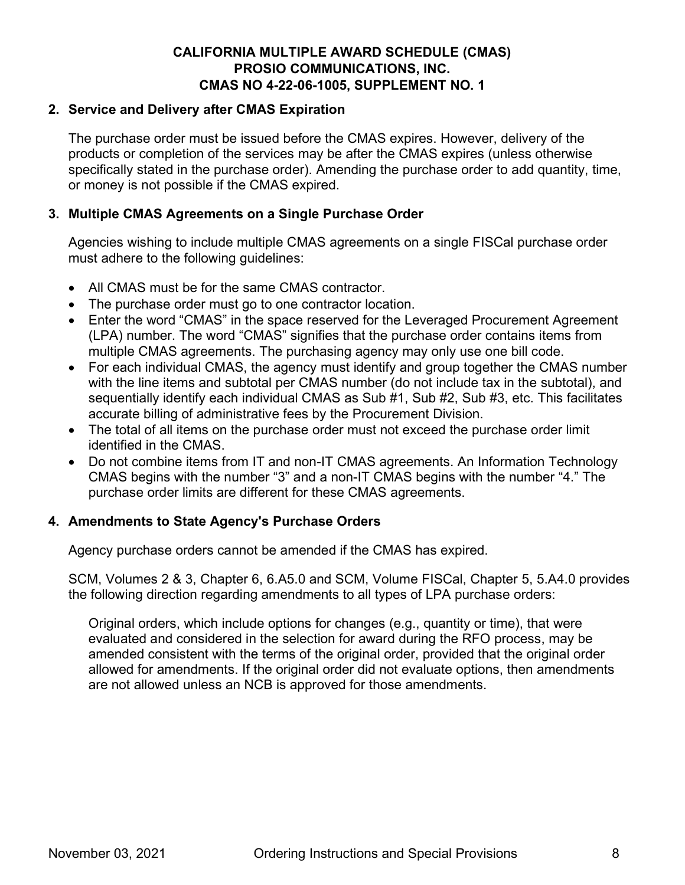#### **2. Service and Delivery after CMAS Expiration**

The purchase order must be issued before the CMAS expires. However, delivery of the products or completion of the services may be after the CMAS expires (unless otherwise specifically stated in the purchase order). Amending the purchase order to add quantity, time, or money is not possible if the CMAS expired.

#### **3. Multiple CMAS Agreements on a Single Purchase Order**

Agencies wishing to include multiple CMAS agreements on a single FISCal purchase order must adhere to the following guidelines:

- All CMAS must be for the same CMAS contractor.
- The purchase order must go to one contractor location.
- Enter the word "CMAS" in the space reserved for the Leveraged Procurement Agreement (LPA) number. The word "CMAS" signifies that the purchase order contains items from multiple CMAS agreements. The purchasing agency may only use one bill code.
- For each individual CMAS, the agency must identify and group together the CMAS number with the line items and subtotal per CMAS number (do not include tax in the subtotal), and sequentially identify each individual CMAS as Sub #1, Sub #2, Sub #3, etc. This facilitates accurate billing of administrative fees by the Procurement Division.
- The total of all items on the purchase order must not exceed the purchase order limit identified in the CMAS.
- Do not combine items from IT and non-IT CMAS agreements. An Information Technology CMAS begins with the number "3" and a non-IT CMAS begins with the number "4." The purchase order limits are different for these CMAS agreements.

#### **4. Amendments to State Agency's Purchase Orders**

Agency purchase orders cannot be amended if the CMAS has expired.

SCM, Volumes 2 & 3, Chapter 6, 6.A5.0 and SCM, Volume FISCal, Chapter 5, 5.A4.0 provides the following direction regarding amendments to all types of LPA purchase orders:

Original orders, which include options for changes (e.g., quantity or time), that were evaluated and considered in the selection for award during the RFO process, may be amended consistent with the terms of the original order, provided that the original order allowed for amendments. If the original order did not evaluate options, then amendments are not allowed unless an NCB is approved for those amendments.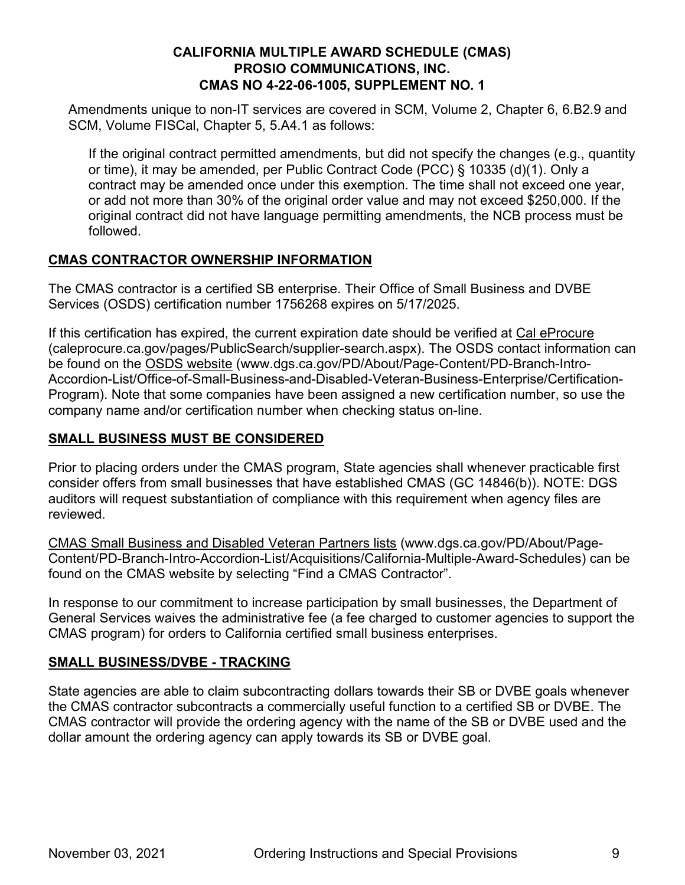Amendments unique to non-IT services are covered in SCM, Volume 2, Chapter 6, 6.B2.9 and SCM, Volume FISCal, Chapter 5, 5.A4.1 as follows:

If the original contract permitted amendments, but did not specify the changes (e.g., quantity or time), it may be amended, per Public Contract Code (PCC) § 10335 (d)(1). Only a contract may be amended once under this exemption. The time shall not exceed one year, or add not more than 30% of the original order value and may not exceed \$250,000. If the original contract did not have language permitting amendments, the NCB process must be followed.

## **CMAS CONTRACTOR OWNERSHIP INFORMATION**

The CMAS contractor is a certified SB enterprise. Their Office of Small Business and DVBE Services (OSDS) certification number 1756268 expires on 5/17/2025.

If this certification has expired, the current expiration date should be verified at [Cal eProcure](https://caleprocure.ca.gov/pages/PublicSearch/supplier-search.aspx) (caleprocure.ca.gov/pages/PublicSearch/supplier-search.aspx). The OSDS contact information can be found on the [OSDS website](https://www.dgs.ca.gov/PD/About/Page-Content/PD-Branch-Intro-Accordion-List/Office-of-Small-Business-and-Disabled-Veteran-Business-Enterprise/Certification-Program) (www.dgs.ca.gov/PD/About/Page-Content/PD-Branch-Intro-Accordion-List/Office-of-Small-Business-and-Disabled-Veteran-Business-Enterprise/Certification-Program). Note that some companies have been assigned a new certification number, so use the company name and/or certification number when checking status on-line.

# **SMALL BUSINESS MUST BE CONSIDERED**

Prior to placing orders under the CMAS program, State agencies shall whenever practicable first consider offers from small businesses that have established CMAS (GC 14846(b)). NOTE: DGS auditors will request substantiation of compliance with this requirement when agency files are reviewed.

[CMAS Small Business and Disabled Veteran Partners lists](https://www.dgs.ca.gov/PD/About/Page-Content/PD-Branch-Intro-Accordion-List/Acquisitions/California-Multiple-Award-Schedules) (www.dgs.ca.gov/PD/About/Page-Content/PD-Branch-Intro-Accordion-List/Acquisitions/California-Multiple-Award-Schedules) can be found on the CMAS website by selecting "Find a CMAS Contractor".

In response to our commitment to increase participation by small businesses, the Department of General Services waives the administrative fee (a fee charged to customer agencies to support the CMAS program) for orders to California certified small business enterprises.

# **SMALL BUSINESS/DVBE - TRACKING**

State agencies are able to claim subcontracting dollars towards their SB or DVBE goals whenever the CMAS contractor subcontracts a commercially useful function to a certified SB or DVBE. The CMAS contractor will provide the ordering agency with the name of the SB or DVBE used and the dollar amount the ordering agency can apply towards its SB or DVBE goal.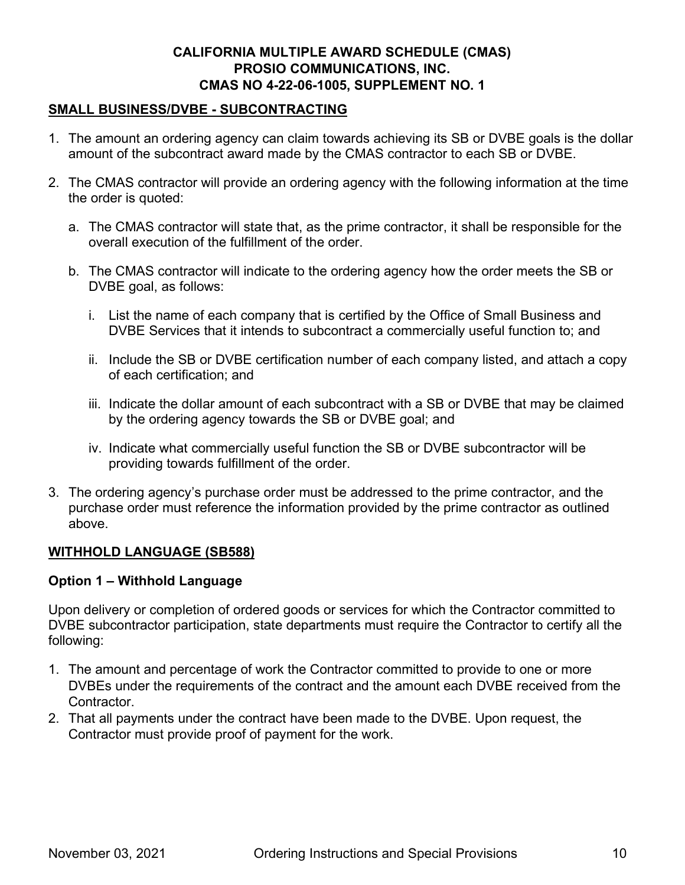## **SMALL BUSINESS/DVBE - SUBCONTRACTING**

- 1. The amount an ordering agency can claim towards achieving its SB or DVBE goals is the dollar amount of the subcontract award made by the CMAS contractor to each SB or DVBE.
- 2. The CMAS contractor will provide an ordering agency with the following information at the time the order is quoted:
	- a. The CMAS contractor will state that, as the prime contractor, it shall be responsible for the overall execution of the fulfillment of the order.
	- b. The CMAS contractor will indicate to the ordering agency how the order meets the SB or DVBE goal, as follows:
		- i. List the name of each company that is certified by the Office of Small Business and DVBE Services that it intends to subcontract a commercially useful function to; and
		- ii. Include the SB or DVBE certification number of each company listed, and attach a copy of each certification; and
		- iii. Indicate the dollar amount of each subcontract with a SB or DVBE that may be claimed by the ordering agency towards the SB or DVBE goal; and
		- iv. Indicate what commercially useful function the SB or DVBE subcontractor will be providing towards fulfillment of the order.
- 3. The ordering agency's purchase order must be addressed to the prime contractor, and the purchase order must reference the information provided by the prime contractor as outlined above.

# **WITHHOLD LANGUAGE (SB588)**

#### **Option 1 – Withhold Language**

Upon delivery or completion of ordered goods or services for which the Contractor committed to DVBE subcontractor participation, state departments must require the Contractor to certify all the following:

- 1. The amount and percentage of work the Contractor committed to provide to one or more DVBEs under the requirements of the contract and the amount each DVBE received from the Contractor.
- 2. That all payments under the contract have been made to the DVBE. Upon request, the Contractor must provide proof of payment for the work.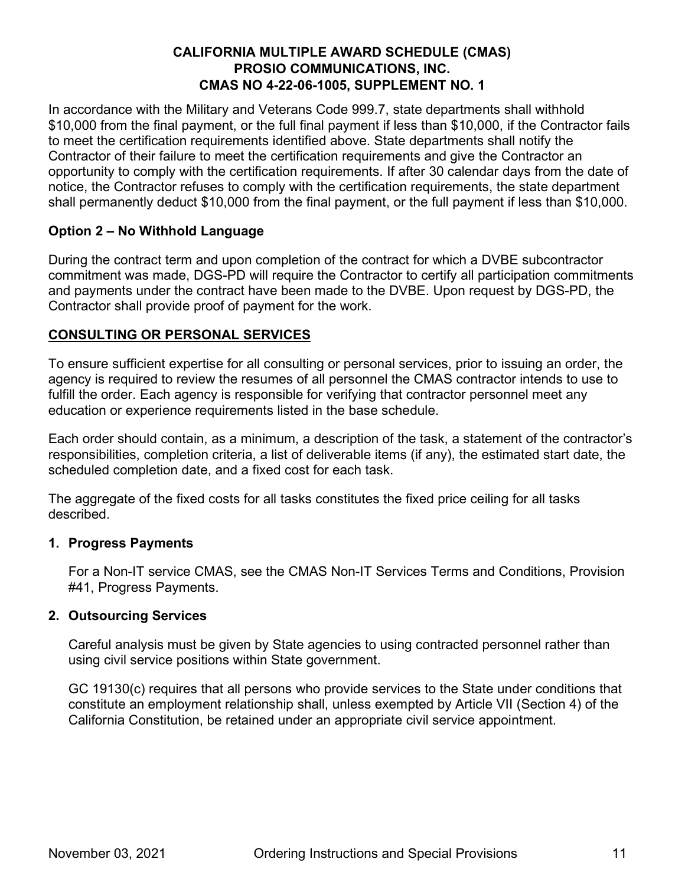In accordance with the Military and Veterans Code 999.7, state departments shall withhold \$10,000 from the final payment, or the full final payment if less than \$10,000, if the Contractor fails to meet the certification requirements identified above. State departments shall notify the Contractor of their failure to meet the certification requirements and give the Contractor an opportunity to comply with the certification requirements. If after 30 calendar days from the date of notice, the Contractor refuses to comply with the certification requirements, the state department shall permanently deduct \$10,000 from the final payment, or the full payment if less than \$10,000.

# **Option 2 – No Withhold Language**

During the contract term and upon completion of the contract for which a DVBE subcontractor commitment was made, DGS-PD will require the Contractor to certify all participation commitments and payments under the contract have been made to the DVBE. Upon request by DGS-PD, the Contractor shall provide proof of payment for the work.

# **CONSULTING OR PERSONAL SERVICES**

To ensure sufficient expertise for all consulting or personal services, prior to issuing an order, the agency is required to review the resumes of all personnel the CMAS contractor intends to use to fulfill the order. Each agency is responsible for verifying that contractor personnel meet any education or experience requirements listed in the base schedule.

Each order should contain, as a minimum, a description of the task, a statement of the contractor's responsibilities, completion criteria, a list of deliverable items (if any), the estimated start date, the scheduled completion date, and a fixed cost for each task.

The aggregate of the fixed costs for all tasks constitutes the fixed price ceiling for all tasks described.

#### **1. Progress Payments**

For a Non-IT service CMAS, see the CMAS Non-IT Services Terms and Conditions, Provision #41, Progress Payments.

# **2. Outsourcing Services**

Careful analysis must be given by State agencies to using contracted personnel rather than using civil service positions within State government.

GC 19130(c) requires that all persons who provide services to the State under conditions that constitute an employment relationship shall, unless exempted by Article VII (Section 4) of the California Constitution, be retained under an appropriate civil service appointment.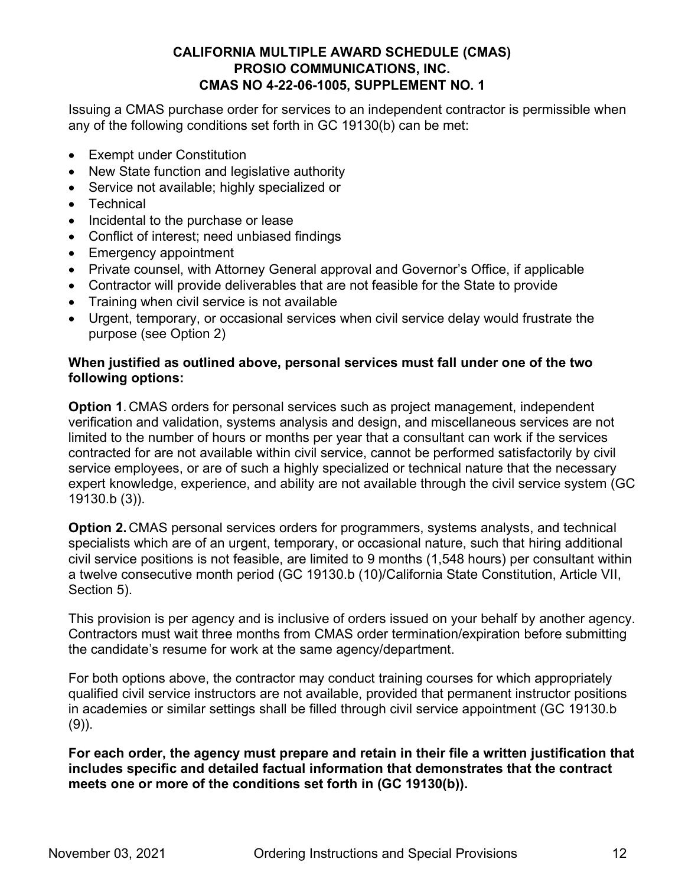Issuing a CMAS purchase order for services to an independent contractor is permissible when any of the following conditions set forth in GC 19130(b) can be met:

- Exempt under Constitution
- New State function and legislative authority
- Service not available; highly specialized or
- Technical
- Incidental to the purchase or lease
- Conflict of interest; need unbiased findings
- Emergency appointment
- Private counsel, with Attorney General approval and Governor's Office, if applicable
- Contractor will provide deliverables that are not feasible for the State to provide
- Training when civil service is not available
- Urgent, temporary, or occasional services when civil service delay would frustrate the purpose (see Option 2)

#### **When justified as outlined above, personal services must fall under one of the two following options:**

**Option 1**. CMAS orders for personal services such as project management, independent verification and validation, systems analysis and design, and miscellaneous services are not limited to the number of hours or months per year that a consultant can work if the services contracted for are not available within civil service, cannot be performed satisfactorily by civil service employees, or are of such a highly specialized or technical nature that the necessary expert knowledge, experience, and ability are not available through the civil service system (GC 19130.b (3)).

**Option 2.** CMAS personal services orders for programmers, systems analysts, and technical specialists which are of an urgent, temporary, or occasional nature, such that hiring additional civil service positions is not feasible, are limited to 9 months (1,548 hours) per consultant within a twelve consecutive month period (GC 19130.b (10)/California State Constitution, Article VII, Section 5).

This provision is per agency and is inclusive of orders issued on your behalf by another agency. Contractors must wait three months from CMAS order termination/expiration before submitting the candidate's resume for work at the same agency/department.

For both options above, the contractor may conduct training courses for which appropriately qualified civil service instructors are not available, provided that permanent instructor positions in academies or similar settings shall be filled through civil service appointment (GC 19130.b  $(9)$ ).

**For each order, the agency must prepare and retain in their file a written justification that includes specific and detailed factual information that demonstrates that the contract meets one or more of the conditions set forth in (GC 19130(b)).**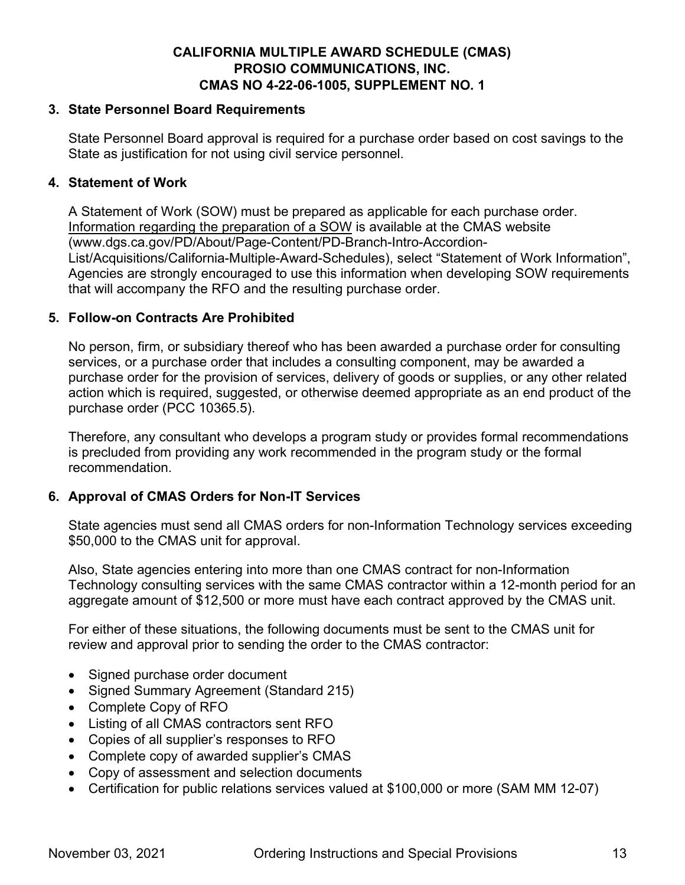#### **3. State Personnel Board Requirements**

State Personnel Board approval is required for a purchase order based on cost savings to the State as justification for not using civil service personnel.

#### **4. Statement of Work**

A Statement of Work (SOW) must be prepared as applicable for each purchase order. [Information regarding the preparation of a SOW](http://www.dgs.ca.gov/PD/About/Page-Content/PD-Branch-Intro-Accordion-List/Acquisitions/California-Multiple-Award-Schedules) is available at the CMAS website (www.dgs.ca.gov/PD/About/Page-Content/PD-Branch-Intro-Accordion-List/Acquisitions/California-Multiple-Award-Schedules), select "Statement of Work Information", Agencies are strongly encouraged to use this information when developing SOW requirements that will accompany the RFO and the resulting purchase order.

#### **5. Follow-on Contracts Are Prohibited**

No person, firm, or subsidiary thereof who has been awarded a purchase order for consulting services, or a purchase order that includes a consulting component, may be awarded a purchase order for the provision of services, delivery of goods or supplies, or any other related action which is required, suggested, or otherwise deemed appropriate as an end product of the purchase order (PCC 10365.5).

Therefore, any consultant who develops a program study or provides formal recommendations is precluded from providing any work recommended in the program study or the formal recommendation.

#### **6. Approval of CMAS Orders for Non-IT Services**

State agencies must send all CMAS orders for non-Information Technology services exceeding \$50,000 to the CMAS unit for approval.

Also, State agencies entering into more than one CMAS contract for non-Information Technology consulting services with the same CMAS contractor within a 12-month period for an aggregate amount of \$12,500 or more must have each contract approved by the CMAS unit.

For either of these situations, the following documents must be sent to the CMAS unit for review and approval prior to sending the order to the CMAS contractor:

- Signed purchase order document
- Signed Summary Agreement (Standard 215)
- Complete Copy of RFO
- Listing of all CMAS contractors sent RFO
- Copies of all supplier's responses to RFO
- Complete copy of awarded supplier's CMAS
- Copy of assessment and selection documents
- Certification for public relations services valued at \$100,000 or more (SAM MM 12-07)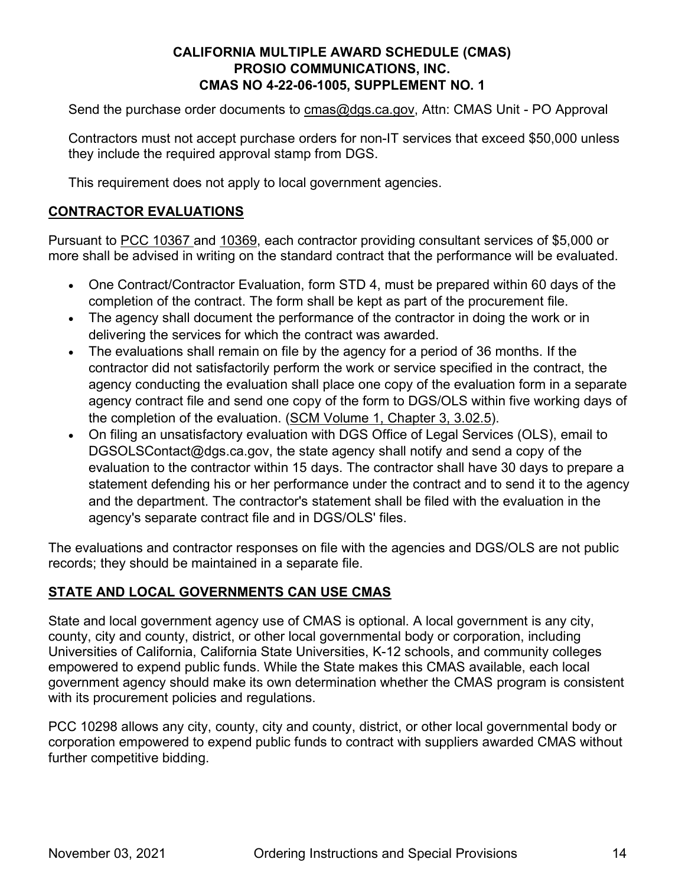Send the purchase order documents to **cmas@dgs.ca.gov**, Attn: CMAS Unit - PO Approval

Contractors must not accept purchase orders for non-IT services that exceed \$50,000 unless they include the required approval stamp from DGS.

This requirement does not apply to local government agencies.

## **CONTRACTOR EVALUATIONS**

Pursuant to [PCC 10367](https://leginfo.legislature.ca.gov/faces/codes_displaySection.xhtml?sectionNum=10367.&lawCode=PCC) and [10369,](https://leginfo.legislature.ca.gov/faces/codes_displaySection.xhtml?sectionNum=10369.&lawCode=PCC) each contractor providing consultant services of \$5,000 or more shall be advised in writing on the standard contract that the performance will be evaluated.

- One Contract/Contractor Evaluation, form STD 4, must be prepared within 60 days of the completion of the contract. The form shall be kept as part of the procurement file.
- The agency shall document the performance of the contractor in doing the work or in delivering the services for which the contract was awarded.
- The evaluations shall remain on file by the agency for a period of 36 months. If the contractor did not satisfactorily perform the work or service specified in the contract, the agency conducting the evaluation shall place one copy of the evaluation form in a separate agency contract file and send one copy of the form to DGS/OLS within five working days of the completion of the evaluation. [\(SCM Volume 1, Chapter 3, 3.02.5\)](https://www.dgs.ca.gov/OLS/Resources/Page-Content/Office-of-Legal-Services-Resources-List-Folder/State-Contracting).
- On filing an unsatisfactory evaluation with DGS Office of Legal Services (OLS), email to DGSOLSContact@dgs.ca.gov, the state agency shall notify and send a copy of the evaluation to the contractor within 15 days. The contractor shall have 30 days to prepare a statement defending his or her performance under the contract and to send it to the agency and the department. The contractor's statement shall be filed with the evaluation in the agency's separate contract file and in DGS/OLS' files.

The evaluations and contractor responses on file with the agencies and DGS/OLS are not public records; they should be maintained in a separate file.

#### **STATE AND LOCAL GOVERNMENTS CAN USE CMAS**

State and local government agency use of CMAS is optional. A local government is any city, county, city and county, district, or other local governmental body or corporation, including Universities of California, California State Universities, K-12 schools, and community colleges empowered to expend public funds. While the State makes this CMAS available, each local government agency should make its own determination whether the CMAS program is consistent with its procurement policies and regulations.

PCC 10298 allows any city, county, city and county, district, or other local governmental body or corporation empowered to expend public funds to contract with suppliers awarded CMAS without further competitive bidding.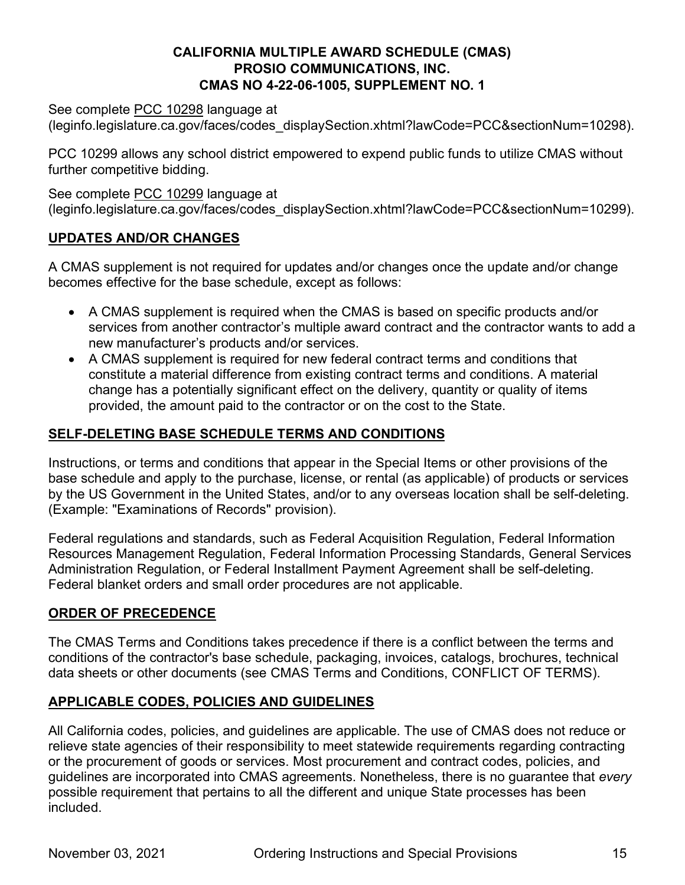See complete [PCC 10298](https://leginfo.legislature.ca.gov/faces/codes_displaySection.xhtml?lawCode=PCC§ionNum=10298) language at

(leginfo.legislature.ca.gov/faces/codes\_displaySection.xhtml?lawCode=PCC&sectionNum=10298).

PCC 10299 allows any school district empowered to expend public funds to utilize CMAS without further competitive bidding.

See complete [PCC 10299](https://leginfo.legislature.ca.gov/faces/codes_displaySection.xhtml?lawCode=PCC§ionNum=10299) language at (leginfo.legislature.ca.gov/faces/codes\_displaySection.xhtml?lawCode=PCC&sectionNum=10299).

# **UPDATES AND/OR CHANGES**

A CMAS supplement is not required for updates and/or changes once the update and/or change becomes effective for the base schedule, except as follows:

- A CMAS supplement is required when the CMAS is based on specific products and/or services from another contractor's multiple award contract and the contractor wants to add a new manufacturer's products and/or services.
- A CMAS supplement is required for new federal contract terms and conditions that constitute a material difference from existing contract terms and conditions. A material change has a potentially significant effect on the delivery, quantity or quality of items provided, the amount paid to the contractor or on the cost to the State.

# **SELF-DELETING BASE SCHEDULE TERMS AND CONDITIONS**

Instructions, or terms and conditions that appear in the Special Items or other provisions of the base schedule and apply to the purchase, license, or rental (as applicable) of products or services by the US Government in the United States, and/or to any overseas location shall be self-deleting. (Example: "Examinations of Records" provision).

Federal regulations and standards, such as Federal Acquisition Regulation, Federal Information Resources Management Regulation, Federal Information Processing Standards, General Services Administration Regulation, or Federal Installment Payment Agreement shall be self-deleting. Federal blanket orders and small order procedures are not applicable.

# **ORDER OF PRECEDENCE**

The CMAS Terms and Conditions takes precedence if there is a conflict between the terms and conditions of the contractor's base schedule, packaging, invoices, catalogs, brochures, technical data sheets or other documents (see CMAS Terms and Conditions, CONFLICT OF TERMS).

# **APPLICABLE CODES, POLICIES AND GUIDELINES**

All California codes, policies, and guidelines are applicable. The use of CMAS does not reduce or relieve state agencies of their responsibility to meet statewide requirements regarding contracting or the procurement of goods or services. Most procurement and contract codes, policies, and guidelines are incorporated into CMAS agreements. Nonetheless, there is no guarantee that *every* possible requirement that pertains to all the different and unique State processes has been included.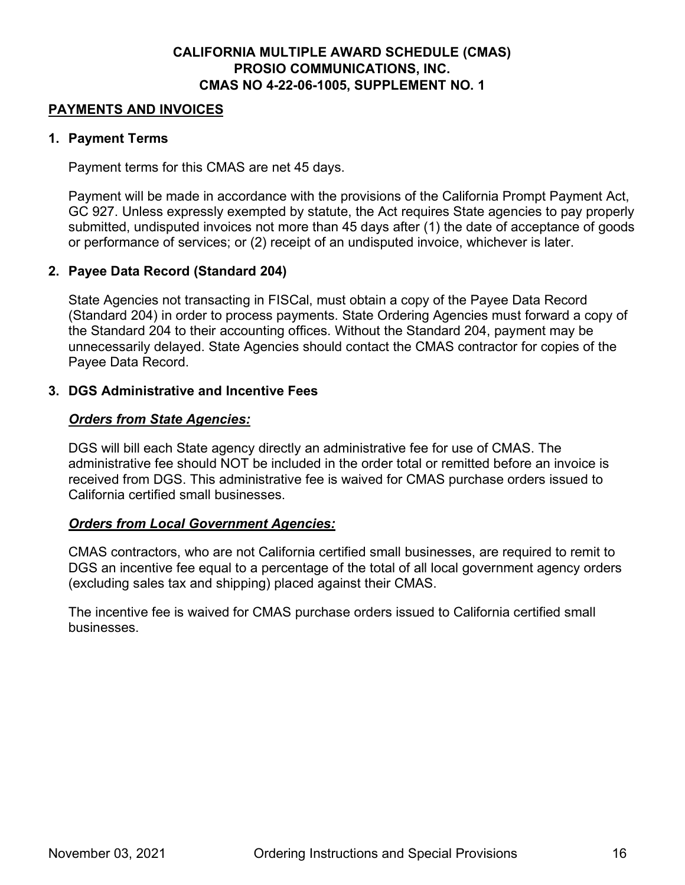#### **PAYMENTS AND INVOICES**

#### **1. Payment Terms**

Payment terms for this CMAS are net 45 days.

Payment will be made in accordance with the provisions of the California Prompt Payment Act, GC 927. Unless expressly exempted by statute, the Act requires State agencies to pay properly submitted, undisputed invoices not more than 45 days after (1) the date of acceptance of goods or performance of services; or (2) receipt of an undisputed invoice, whichever is later.

#### **2. Payee Data Record (Standard 204)**

State Agencies not transacting in FISCal, must obtain a copy of the Payee Data Record (Standard 204) in order to process payments. State Ordering Agencies must forward a copy of the Standard 204 to their accounting offices. Without the Standard 204, payment may be unnecessarily delayed. State Agencies should contact the CMAS contractor for copies of the Payee Data Record.

#### **3. DGS Administrative and Incentive Fees**

#### *Orders from State Agencies:*

DGS will bill each State agency directly an administrative fee for use of CMAS. The administrative fee should NOT be included in the order total or remitted before an invoice is received from DGS. This administrative fee is waived for CMAS purchase orders issued to California certified small businesses.

#### *Orders from Local Government Agencies:*

CMAS contractors, who are not California certified small businesses, are required to remit to DGS an incentive fee equal to a percentage of the total of all local government agency orders (excluding sales tax and shipping) placed against their CMAS.

The incentive fee is waived for CMAS purchase orders issued to California certified small businesses.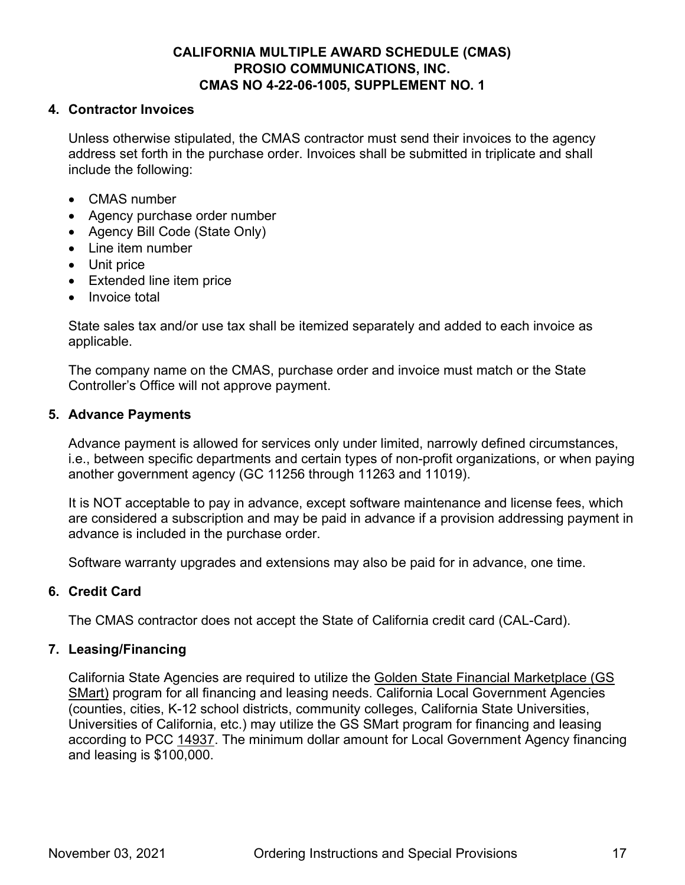#### **4. Contractor Invoices**

Unless otherwise stipulated, the CMAS contractor must send their invoices to the agency address set forth in the purchase order. Invoices shall be submitted in triplicate and shall include the following:

- CMAS number
- Agency purchase order number
- Agency Bill Code (State Only)
- Line item number
- Unit price
- Extended line item price
- Invoice total

State sales tax and/or use tax shall be itemized separately and added to each invoice as applicable.

The company name on the CMAS, purchase order and invoice must match or the State Controller's Office will not approve payment.

#### **5. Advance Payments**

Advance payment is allowed for services only under limited, narrowly defined circumstances, i.e., between specific departments and certain types of non-profit organizations, or when paying another government agency (GC 11256 through 11263 and 11019).

It is NOT acceptable to pay in advance, except software maintenance and license fees, which are considered a subscription and may be paid in advance if a provision addressing payment in advance is included in the purchase order.

Software warranty upgrades and extensions may also be paid for in advance, one time.

#### **6. Credit Card**

The CMAS contractor does not accept the State of California credit card (CAL-Card).

#### **7. Leasing/Financing**

California State Agencies are required to utilize the [Golden State Financial Marketplace \(GS](https://www.dgs.ca.gov/PD/Resources/Page-Content/Procurement-Division-Resources-List-Folder/GS-$Mart-Frequently-Asked-Questions?search=GS%20SMART)  [SMart\)](https://www.dgs.ca.gov/PD/Resources/Page-Content/Procurement-Division-Resources-List-Folder/GS-$Mart-Frequently-Asked-Questions?search=GS%20SMART) program for all financing and leasing needs. California Local Government Agencies (counties, cities, K-12 school districts, community colleges, California State Universities, Universities of California, etc.) may utilize the GS SMart program for financing and leasing according to PCC [14937.](https://leginfo.legislature.ca.gov/faces/codes_displaySection.xhtml?lawCode=GOV§ionNum=14937.) The minimum dollar amount for Local Government Agency financing and leasing is \$100,000.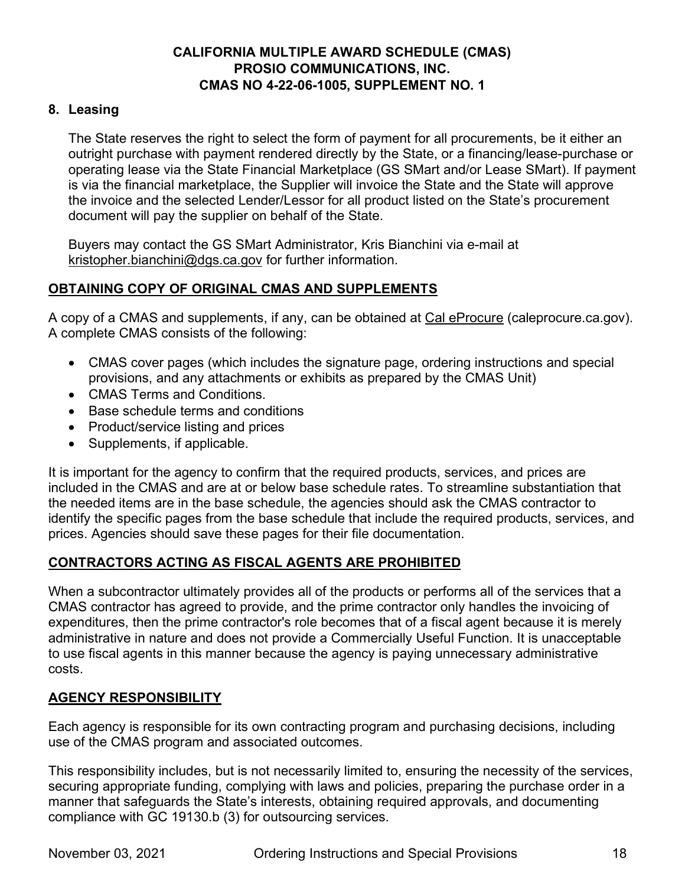## **8. Leasing**

The State reserves the right to select the form of payment for all procurements, be it either an outright purchase with payment rendered directly by the State, or a financing/lease-purchase or operating lease via the State Financial Marketplace (GS SMart and/or Lease SMart). If payment is via the financial marketplace, the Supplier will invoice the State and the State will approve the invoice and the selected Lender/Lessor for all product listed on the State's procurement document will pay the supplier on behalf of the State.

Buyers may contact the GS SMart Administrator, [Kris](mailto:patrick.mullen@dgs.ca.gov) Bianchini via e-mail at [kristopher.bianchini@dgs.ca.gov](mailto:kristopher.bianchini@dgs.ca.gov) for further information.

# **OBTAINING COPY OF ORIGINAL CMAS AND SUPPLEMENTS**

A copy of a CMAS and supplements, if any, can be obtained at [Cal eProcure](https://caleprocure.ca.gov/) (caleprocure.ca.gov). A complete CMAS consists of the following:

- CMAS cover pages (which includes the signature page, ordering instructions and special provisions, and any attachments or exhibits as prepared by the CMAS Unit)
- CMAS Terms and Conditions.
- Base schedule terms and conditions
- Product/service listing and prices
- Supplements, if applicable.

It is important for the agency to confirm that the required products, services, and prices are included in the CMAS and are at or below base schedule rates. To streamline substantiation that the needed items are in the base schedule, the agencies should ask the CMAS contractor to identify the specific pages from the base schedule that include the required products, services, and prices. Agencies should save these pages for their file documentation.

# **CONTRACTORS ACTING AS FISCAL AGENTS ARE PROHIBITED**

When a subcontractor ultimately provides all of the products or performs all of the services that a CMAS contractor has agreed to provide, and the prime contractor only handles the invoicing of expenditures, then the prime contractor's role becomes that of a fiscal agent because it is merely administrative in nature and does not provide a Commercially Useful Function. It is unacceptable to use fiscal agents in this manner because the agency is paying unnecessary administrative costs.

#### **AGENCY RESPONSIBILITY**

Each agency is responsible for its own contracting program and purchasing decisions, including use of the CMAS program and associated outcomes.

This responsibility includes, but is not necessarily limited to, ensuring the necessity of the services, securing appropriate funding, complying with laws and policies, preparing the purchase order in a manner that safeguards the State's interests, obtaining required approvals, and documenting compliance with GC 19130.b (3) for outsourcing services.